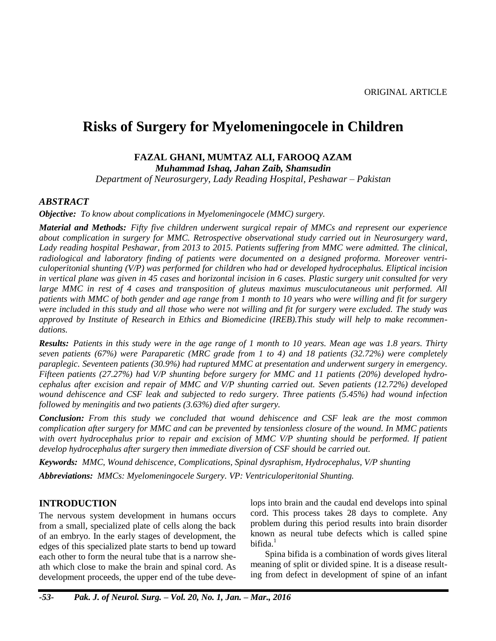# **Risks of Surgery for Myelomeningocele in Children**

# **FAZAL GHANI, MUMTAZ ALI, FAROOQ AZAM**

*Muhammad Ishaq, Jahan Zaib, Shamsudin*

*Department of Neurosurgery, Lady Reading Hospital, Peshawar – Pakistan*

#### *ABSTRACT*

*Objective: To know about complications in Myelomeningocele (MMC) surgery.*

*Material and Methods: Fifty five children underwent surgical repair of MMCs and represent our experience about complication in surgery for MMC. Retrospective observational study carried out in Neurosurgery ward, Lady reading hospital Peshawar, from 2013 to 2015. Patients suffering from MMC were admitted. The clinical, radiological and laboratory finding of patients were documented on a designed proforma. Moreover ventriculoperitonial shunting (V/P) was performed for children who had or developed hydrocephalus. Eliptical incision in vertical plane was given in 45 cases and horizontal incision in 6 cases. Plastic surgery unit consulted for very large MMC in rest of 4 cases and transposition of gluteus maximus musculocutaneous unit performed. All patients with MMC of both gender and age range from 1 month to 10 years who were willing and fit for surgery were included in this study and all those who were not willing and fit for surgery were excluded. The study was approved by Institute of Research in Ethics and Biomedicine (IREB).This study will help to make recommendations.*

*Results: Patients in this study were in the age range of 1 month to 10 years. Mean age was 1.8 years. Thirty seven patients (67%) were Paraparetic (MRC grade from 1 to 4) and 18 patients (32.72%) were completely paraplegic. Seventeen patients (30.9%) had ruptured MMC at presentation and underwent surgery in emergency. Fifteen patients (27.27%) had V/P shunting before surgery for MMC and 11 patients (20%) developed hydrocephalus after excision and repair of MMC and V/P shunting carried out. Seven patients (12.72%) developed wound dehiscence and CSF leak and subjected to redo surgery. Three patients (5.45%) had wound infection followed by meningitis and two patients (3.63%) died after surgery.*

*Conclusion: From this study we concluded that wound dehiscence and CSF leak are the most common complication after surgery for MMC and can be prevented by tensionless closure of the wound. In MMC patients*  with overt hydrocephalus prior to repair and excision of MMC V/P shunting should be performed. If patient *develop hydrocephalus after surgery then immediate diversion of CSF should be carried out.*

*Keywords: MMC, Wound dehiscence, Complications, Spinal dysraphism, Hydrocephalus, V/P shunting Abbreviations: MMCs: Myelomeningocele Surgery. VP: Ventriculoperitonial Shunting.*

### **INTRODUCTION**

The nervous system development in humans occurs from a small, specialized plate of cells along the back of an embryo. In the early stages of development, the edges of this specialized plate starts to bend up toward each other to form the neural tube that is a narrow sheath which close to make the brain and spinal cord. As development proceeds, the upper end of the tube develops into brain and the caudal end develops into spinal cord. This process takes 28 days to complete. Any problem during this period results into brain disorder known as neural tube defects which is called spine bifida.<sup>1</sup>

Spina bifida is a combination of words gives literal meaning of split or divided spine. It is a disease resulting from defect in development of spine of an infant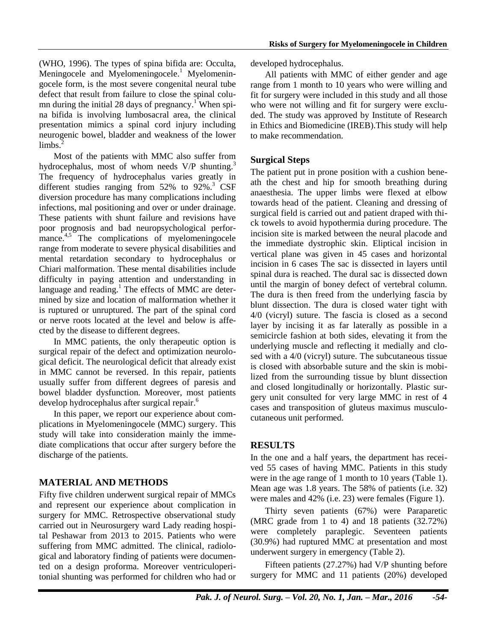(WHO, 1996). The types of spina bifida are: Occulta, Meningocele and Myelomeningocele.<sup>1</sup> Myelomeningocele form, is the most severe congenital neural tube defect that result from failure to close the spinal column during the initial 28 days of pregnancy.<sup>1</sup> When spina bifida is involving lumbosacral area, the clinical presentation mimics a spinal cord injury including neurogenic bowel, bladder and weakness of the lower  $\lim_{n \to \infty}$ 

Most of the patients with MMC also suffer from hydrocephalus, most of whom needs V/P shunting.<sup>3</sup> The frequency of hydrocephalus varies greatly in different studies ranging from 52% to 92%. <sup>3</sup> CSF diversion procedure has many complications including infections, mal positioning and over or under drainage. These patients with shunt failure and revisions have poor prognosis and bad neuropsychological performance.<sup>4,5</sup> The complications of myelomeningocele range from moderate to severe physical disabilities and mental retardation secondary to hydrocephalus or Chiari malformation. These mental disabilities include difficulty in paying attention and understanding in language and reading. <sup>1</sup> The effects of MMC are determined by size and location of malformation whether it is ruptured or unruptured. The part of the spinal cord or nerve roots located at the level and below is affected by the disease to different degrees.

In MMC patients, the only therapeutic option is surgical repair of the defect and optimization neurological deficit. The neurological deficit that already exist in MMC cannot be reversed. In this repair, patients usually suffer from different degrees of paresis and bowel bladder dysfunction. Moreover, most patients develop hydrocephalus after surgical repair. 6

In this paper, we report our experience about complications in Myelomeningocele (MMC) surgery. This study will take into consideration mainly the immediate complications that occur after surgery before the discharge of the patients.

# **MATERIAL AND METHODS**

Fifty five children underwent surgical repair of MMCs and represent our experience about complication in surgery for MMC. Retrospective observational study carried out in Neurosurgery ward Lady reading hospital Peshawar from 2013 to 2015. Patients who were suffering from MMC admitted. The clinical, radiological and laboratory finding of patients were documented on a design proforma. Moreover ventriculoperitonial shunting was performed for children who had or

developed hydrocephalus.

All patients with MMC of either gender and age range from 1 month to 10 years who were willing and fit for surgery were included in this study and all those who were not willing and fit for surgery were excluded. The study was approved by Institute of Research in Ethics and Biomedicine (IREB).This study will help to make recommendation.

## **Surgical Steps**

The patient put in prone position with a cushion beneath the chest and hip for smooth breathing during anaesthesia. The upper limbs were flexed at elbow towards head of the patient. Cleaning and dressing of surgical field is carried out and patient draped with thick towels to avoid hypothermia during procedure. The incision site is marked between the neural placode and the immediate dystrophic skin. Eliptical incision in vertical plane was given in 45 cases and horizontal incision in 6 cases The sac is dissected in layers until spinal dura is reached. The dural sac is dissected down until the margin of boney defect of vertebral column. The dura is then freed from the underlying fascia by blunt dissection. The dura is closed water tight with 4/0 (vicryl) suture. The fascia is closed as a second layer by incising it as far laterally as possible in a semicircle fashion at both sides, elevating it from the underlying muscle and reflecting it medially and closed with a 4/0 (vicryl) suture. The subcutaneous tissue is closed with absorbable suture and the skin is mobilized from the surrounding tissue by blunt dissection and closed longitudinally or horizontally. Plastic surgery unit consulted for very large MMC in rest of 4 cases and transposition of gluteus maximus musculocutaneous unit performed.

### **RESULTS**

In the one and a half years, the department has received 55 cases of having MMC. Patients in this study were in the age range of 1 month to 10 years (Table 1). Mean age was 1.8 years. The 58% of patients (i.e. 32) were males and 42% (i.e. 23) were females (Figure 1).

Thirty seven patients (67%) were Paraparetic (MRC grade from 1 to 4) and 18 patients (32.72%) were completely paraplegic. Seventeen patients (30.9%) had ruptured MMC at presentation and most underwent surgery in emergency (Table 2).

Fifteen patients (27.27%) had V/P shunting before surgery for MMC and 11 patients (20%) developed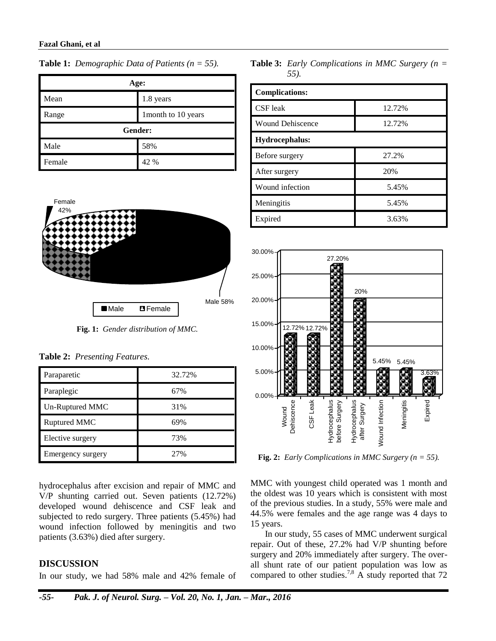| Age:    |                    |  |  |
|---------|--------------------|--|--|
| Mean    | 1.8 years          |  |  |
| Range   | 1month to 10 years |  |  |
| Gender: |                    |  |  |
| Male    | 58%                |  |  |
| Female  | 42 %               |  |  |





**Fig. 1:** *Gender distribution of MMC.*

|  | Table 2: Presenting Features. |  |
|--|-------------------------------|--|
|--|-------------------------------|--|

| Paraparetic       | 32.72% |
|-------------------|--------|
| Paraplegic        | 67%    |
| Un-Ruptured MMC   | 31%    |
| Ruptured MMC      | 69%    |
| Elective surgery  | 73%    |
| Emergency surgery | 2.7%   |

hydrocephalus after excision and repair of MMC and V/P shunting carried out. Seven patients (12.72%) developed wound dehiscence and CSF leak and subjected to redo surgery. Three patients (5.45%) had wound infection followed by meningitis and two patients (3.63%) died after surgery.

### **DISCUSSION**

In our study, we had 58% male and 42% female of

**Table 3:** *Early Complications in MMC Surgery (n = 55).*

| <b>Complications:</b>   |        |  |  |
|-------------------------|--------|--|--|
| CSF leak                | 12.72% |  |  |
| <b>Wound Dehiscence</b> | 12.72% |  |  |
| Hydrocephalus:          |        |  |  |
| Before surgery          | 27.2%  |  |  |
| After surgery           | 20%    |  |  |
| Wound infection         | 5.45%  |  |  |
| Meningitis              | 5.45%  |  |  |
| Expired                 | 3.63%  |  |  |



**Fig. 2:** *Early Complications in MMC Surgery (n = 55).*

MMC with youngest child operated was 1 month and the oldest was 10 years which is consistent with most of the previous studies. In a study, 55% were male and 44.5% were females and the age range was 4 days to 15 years.

In our study, 55 cases of MMC underwent surgical repair. Out of these, 27.2% had V/P shunting before surgery and 20% immediately after surgery. The overall shunt rate of our patient population was low as compared to other studies.<sup>7,8</sup> A study reported that 72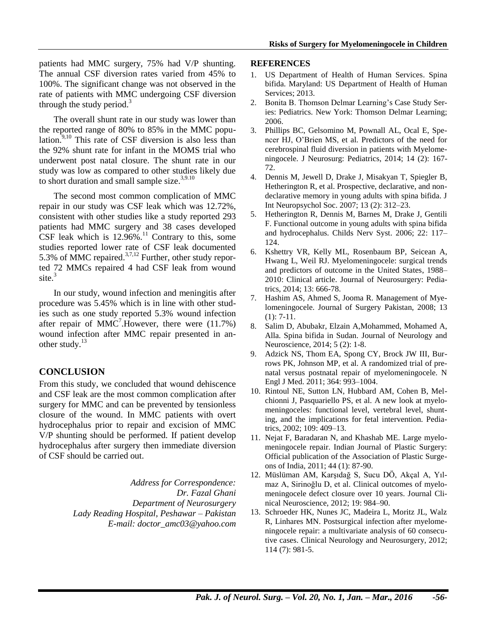patients had MMC surgery, 75% had V/P shunting. The annual CSF diversion rates varied from 45% to 100%. The significant change was not observed in the rate of patients with MMC undergoing CSF diversion through the study period.<sup>3</sup>

The overall shunt rate in our study was lower than the reported range of 80% to 85% in the MMC population. $9,10$  This rate of CSF diversion is also less than the 92% shunt rate for infant in the MOMS trial who underwent post natal closure. The shunt rate in our study was low as compared to other studies likely due to short duration and small sample size.<sup>3,9.10</sup>

The second most common complication of MMC repair in our study was CSF leak which was 12.72%, consistent with other studies like a study reported 293 patients had MMC surgery and 38 cases developed CSF leak which is  $12.96\%$ .<sup>11</sup> Contrary to this, some studies reported lower rate of CSF leak documented 5.3% of MMC repaired. $37,12$  Further, other study reported 72 MMCs repaired 4 had CSF leak from wound site. 3

In our study, wound infection and meningitis after procedure was 5.45% which is in line with other studies such as one study reported 5.3% wound infection after repair of  $MMC^7$ . However, there were (11.7%) wound infection after MMC repair presented in another study.<sup>13</sup>

# **CONCLUSION**

From this study, we concluded that wound dehiscence and CSF leak are the most common complication after surgery for MMC and can be prevented by tensionless closure of the wound. In MMC patients with overt hydrocephalus prior to repair and excision of MMC V/P shunting should be performed. If patient develop hydrocephalus after surgery then immediate diversion of CSF should be carried out.

> *Address for Correspondence: Dr. Fazal Ghani Department of Neurosurgery Lady Reading Hospital, Peshawar – Pakistan E-mail[: doctor\\_amc03@yahoo.com](mailto:doctor_amc03@yahoo.com)*

#### **REFERENCES**

- 1. US Department of Health of Human Services. Spina bifida. Maryland: US Department of Health of Human Services; 2013.
- 2. Bonita B. Thomson Delmar Learning's Case Study Series: Pediatrics. New York: Thomson Delmar Learning; 2006.
- 3. Phillips BC, Gelsomino M, Pownall AL, Ocal E, Spencer HJ, O'Brien MS, et al. Predictors of the need for cerebrospinal fluid diversion in patients with Myelomeningocele. J Neurosurg: Pediatrics, 2014; 14 (2): 167- 72.
- 4. Dennis M, Jewell D, Drake J, Misakyan T, Spiegler B, Hetherington R, et al. Prospective, declarative, and nondeclarative memory in young adults with spina bifida. J Int Neuropsychol Soc. 2007; 13 (2): 312–23.
- 5. Hetherington R, Dennis M, Barnes M, Drake J, Gentili F. Functional outcome in young adults with spina bifida and hydrocephalus. Childs Nerv Syst. 2006; 22: 117– 124.
- 6. Kshettry VR, Kelly ML, Rosenbaum BP, Seicean A, Hwang L, Weil RJ. Myelomeningocele: surgical trends and predictors of outcome in the United States, 1988– 2010: Clinical article. Journal of Neurosurgery: Pediatrics, 2014; 13: 666-78.
- 7. Hashim AS, Ahmed S, Jooma R. Management of Myelomeningocele. Journal of Surgery Pakistan, 2008; 13 (1): 7-11.
- 8. Salim D, Abubakr, Elzain A,Mohammed, Mohamed A, Alla. Spina bifida in Sudan. Journal of Neurology and Neuroscience, 2014; 5 (2): 1-8.
- 9. Adzick NS, Thom EA, Spong CY, Brock JW III, Burrows PK, Johnson MP, et al. A randomized trial of prenatal versus postnatal repair of myelomeningocele. N Engl J Med. 2011; 364: 993–1004.
- 10. Rintoul NE, Sutton LN, Hubbard AM, Cohen B, Melchionni J, Pasquariello PS, et al. A new look at myelomeningoceles: functional level, vertebral level, shunting, and the implications for fetal intervention. Pediatrics, 2002; 109: 409–13.
- 11. Nejat F, Baradaran N, and Khashab ME. Large myelomeningocele repair. Indian Journal of Plastic Surgery: Official publication of the Association of Plastic Surgeons of India, 2011; 44 (1): 87-90.
- 12. Müslüman AM, Karşıdağ S, Sucu DÖ, Akçal A, Yılmaz A, Sirinoğlu D, et al. Clinical outcomes of myelomeningocele defect closure over 10 years. Journal Clinical Neuroscience, 2012; 19: 984–90.
- 13. Schroeder HK, Nunes JC, Madeira L, Moritz JL, Walz R, Linhares MN. Postsurgical infection after myelomeningocele repair: a multivariate analysis of 60 consecutive cases. Clinical Neurology and Neurosurgery, 2012; 114 (7): 981-5.